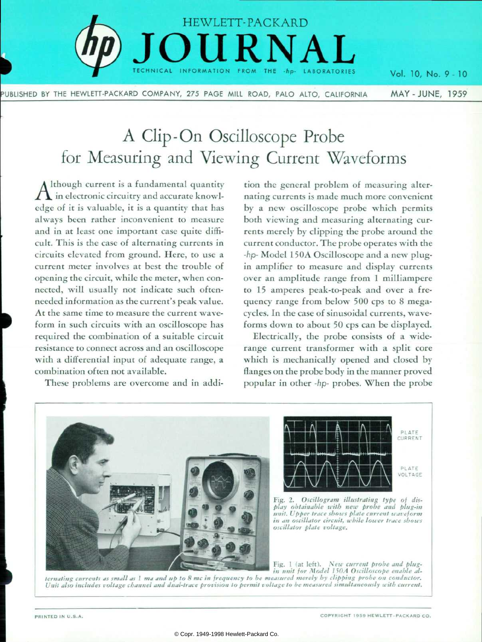

PUBLISHED BY THE HEWLETT-PACKARD COMPANY, 275 PAGE MILL ROAD, PALO ALTO, CALIFORNIA **MAY -JUNE, 1959** 

# A Clip-On Oscilloscope Probe for Measuring and Viewing Current Waveforms

A Ithough current is a fundamental quantity in electronic circuitry and accurate knowl edge of it is valuable, it is a quantity that has always been rather inconvenient to measure and in at least one important case quite diffi cult. This is the case of alternating currents in circuits elevated from ground. Here, to use a current meter involves at best the trouble of opening the circuit, while the meter, when con nected, will usually not indicate such oftenneeded information as the current's peak value. At the same time to measure the current wave form in such circuits with an oscilloscope has required the combination of a suitable circuit resistance to connect across and an oscilloscope with a differential input of adequate range, a combination often not available.

These problems are overcome and in addi

tion the general problem of measuring alter nating currents is made much more convenient by a new oscilloscope probe which permits both viewing and measuring alternating cur rents merely by clipping the probe around the current conductor. The probe operates with the -hp- Model 150A Oscilloscope and a new plugin amplifier to measure and display currents over an amplitude range from 1 milliampere to 15 amperes peak-to-peak and over a fre quency range from below 500 cps to 8 mega cycles. In the case of sinusoidal currents, wave forms down to about 50 cps can be displayed.

Vol. 10, No. 9 - 10

Electrically, the probe consists of a widerange current transformer with a split core which is mechanically opened and closed by flanges on the probe body in the manner proved popular in other -hp- probes. When the probe





*Fig. 2. Oscillogram illustrating type of dis play obtainable with new probe and plug-in*  **unit. V pper trace shows plate current waveform**  *in an oscillator circuit, while lower trace shows oscillator plate voltage.* 

Fig. 1 (at left). New current probe and plug*in unit for Model 150A Oscilloscope enable al-*

*ternating currents as small as I ma and up to 8 me in frequency to be measured merely by clipping probe on conductor.*  Unit also includes voltage channel and dual-trace provision to permit voltage to be measured simultaneously with current.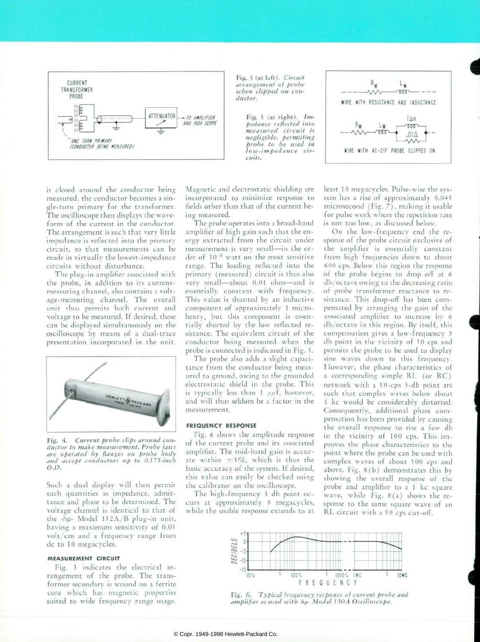



*lou'-impedance cir* 



is closed around the conductor being measured, the conductor becomes a sin gle-turn primary for the transformer. The oscilloscope then displays the wave form of the current in the conductor. The arrangement is such that very little impedance is reflected into the primary circuit, so that measurements can be made in virtually the lowest-impedance circuits without disturbance.

The plug-in amplifier associated with the probe, in addition to its currentmeasuring channel, also contains a volt age-measuring channel. The overall unit thus permits both current and voltage to be measured. If desired, these can be displayed simultaneously on the oscilloscope by means of a dual-trace presentation incorporated in the unit.



*Fig. 4. Current probe clips around con ductor to make measurement. Probe jau'S are operated by flanges on probe body and accept conductors up to 0. 175-inch*  **O.D.** 

Such a dual display will then permit such quantities as impedance, admittance and phase to be determined. The voltage channel is identical to that of the -hp- Model 152A/B plug-in unit, having a maximum sensitivity of 0.05 volt/cm and a frequency range from dc to 10 megacycles.

## **MEASUREMENT CIRCUIT**

Fig. 3 indicates the electrical ar rangement of the probe. The trans former secondary is wound on a ferrite core which has magnetic properties suited to wide frequency range usage.

Magnetic and electrostatic shielding are incorporated to minimize response to fields other than that of the current be ing measured.

*cuits.* 

The probe operates into a broad-band amplifier of high gain such that the en ergy extracted from the circuit under measurement is very small-in the order of 10~8 watt on the most sensitive range. The loading reflected into the primary (measured) circuit is thus also very small-about 0.01 ohm-and is essentially constant with frequency. This value is shunted by an inductive component of approximately 1 micro henry, but this component is essentially shorted by the low reflected re sistance. The equivalent circuit of the conductor being measured when the probe is connected is indicated in Fig. 5.

The probe also adds a slight capaci tance from the conductor being meas ured to ground, owing to the grounded electrostatic shield in the probe. This is typically less than  $1 \mu\mu f$ , however, and will thus seldom be a factor in the measurement.

## **FREQUENCY RESPONSE**

Fig. 6 shows the amplitude response of the current probe and its associated amplifier. The mid-band gain is accur ate within  $\pm$ 5%, which is thus the basic accuracy of the system. If desired, this value can easily be checked using the calibrator on the oscilloscope.

The high-frequency 3 db point oc curs at approximately 8 megacycles, while the usable response extends to at least 10 megacycles. Pulse-wise the sys tem has a rise of approximately 0.045 microsecond (Fig. 7), making it usable for pulse work where the repetition rate is not too low, as discussed below.

On the low-frequency end the re sponse of the probe circuit exclusive of the amplifier is essentially constant from high frequencies down to about 600 cps. Below this region the response of the probe begins to drop off at 6 db/octave owing to the decreasing ratio of probe transformer reactance to re sistance. This drop-off has been com pensated by arranging the gain of the associated amplifier to increase by 6 db/octave in this region. By itself, this compensation gives a low-frequency 3 db point in the vicinity of 50 cps and permits the probe to be used to display sine waves down to this frequency. However, the phase characteristics of a corresponding simple RL (or RC) network with a 50-cps 3-db point are such that complex waves below about 1 kc would be considerably distorted. Consequently, additional phase com pensation has been provided by causing the overall response to rise a few db in the vicinity of 100 cps. This im proves the phase characteristics to the point where the probe can be used with complex waves of about 500 cps and above. Fig. 8(b) demonstrates this by showing the overall response of the probe and amplifier to a 1 kc square wave, while Fig. 8 (a) shows the re sponse to the same square wave of an RL circuit with a 50 cps cut-off.



*Fig. 6. Typical frequency response of current probe and amplifier as used with -hp- Model 150A Oscilloscope.*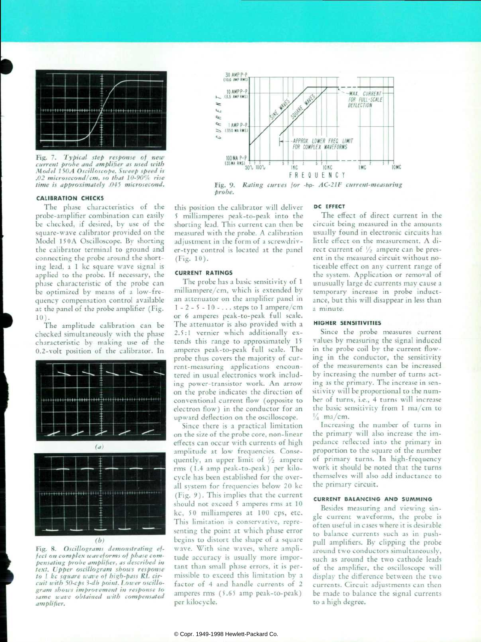

*Fig. 7. Typical step response of new current probe and amplifier as used with Model I 50A Oscilloscope, Sweep speed is .02 microsecond /cm, so that 10-90r/c rise time is approximately .0-45 microsecond.* 

## **CALIBRATION CHECKS**

The phase characteristics of the probe-amplifier combination can easily be checked, if desired, by use of the square-wave calibrator provided on the Model 150A Oscilloscope. By shorting the calibrator terminal to ground and connecting the probe around the short ing lead, a 1 kc square wave signal is applied to the probe. If necessary, the phase characteristic of the probe can be optimized by means of a low-fre quency compensation control available at the panel of the probe amplifier (Fig. 10).

The amplitude calibration can be checked simultaneously with the phase characteristic by making use of the 0.2-volt position of the calibrator. In



*Fig. 8. Oscillograms demonstrating ef fect on complex waveforms of phase com pensating probe amplifier, as described in text. Upper oscillogram shows response to 1 kc square irate of high-pass RL cir cuit with 50-cps 3-dh point. Lower oscillo gram shows improvement in response to same wave obtained with compensated amplifier.* 



*Fig. 9. Rating carves for -hp- AC-21F current-measuring probe.* 

this position the calibrator will deliver 5 milliamperes peak-to-peak into the shorting lead. This current can then be measured with the probe. A calibration adjustment in the form of a screwdriv er-type control is located at the panel (Fig. 10).

# **CURRENT RATINGS**

The probe has a basic sensitivity of 1 milliampere/cm, which is extended by an attenuator on the amplifier panel in 1-2-5-10-.. . steps to 1 ampere/cm or 6 amperes peak-to-peak full scale. The attenuator is also provided with a 2.5:1 vernier which additionally ex tends this range to approximately 15 amperes peak-to-peak full scale. The probe thus covers the majority of cur rent-measuring applications encoun tered in usual electronics work includ ing power-transistor work. An arrow on the probe indicates the direction of conventional current flow (opposite to electron flow) in the conductor for an upward deflection on the oscilloscope.

Since there is a practical limitation on the size of the probe core, non-linear effects can occur with currents of high amplitude at low frequencies. Conse quently, an upper limit of  $\frac{1}{2}$  ampere rms (1.4 amp peak-to-peak) per kilo cycle has been established for the over all system for frequencies below 20 kc (Fig. 9). This implies that the current should not exceed 5 amperes rms at 10 kc, 50 milliamperes at 100 cps, etc. This limitation is conservative, repre senting the point at which phase error begins to distort the shape of a square wave. With sine waves, where ampli tude accuracy is usually more impor tant than small phase errors, it is per missible to exceed this limitation by a factor of 4 and handle currents of 2 amperes rms (5.65 amp peak-to-peak) per kilocycle.

#### **DC EFFECT**

The effect of direct current in the circuit being measured in the amounts usually found in electronic circuits has little effect on the measurement. A di rect current of  $\frac{1}{2}$  ampere can be present in the measured circuit without no ticeable effect on any current range of the system. Application or removal of unusually large dc currents may cause a temporary increase in probe induct ance, but this will disappear in less than a minute.

# **HIGHER SENSITIVITIES**

Since the probe measures current values by measuring the signal induced in the probe coil by the current flow ing in the conductor, the sensitivity of the measurements can be increased by increasing the number of turns act ing as the primary. The increase in sen sitivity will be proportional to the num ber of turns, i.e., 4 turns will increase the basic sensitivity from 1 ma/cm to  $\frac{V_4}{4}$  ma/cm.

Increasing the number of turns in the primary will also increase the im pedance reflected into the primary in proportion to the square of the number of primary turns. In high-frequency work it should be noted that the turns themselves will also add inductance to the primary circuit.

#### **CURRENT BALANCING AND SUMMING**

Besides measuring and viewing sin gle current waveforms, the probe is often useful in cases where it is desirable to balance currents such as in pushpull amplifiers. By clipping the probe around two conductors simultaneously, such as around the two cathode leads of the amplifier, the oscilloscope will display the difference between the two currents. Circuit adjustments can then be made to balance the signal currents to a high degree.